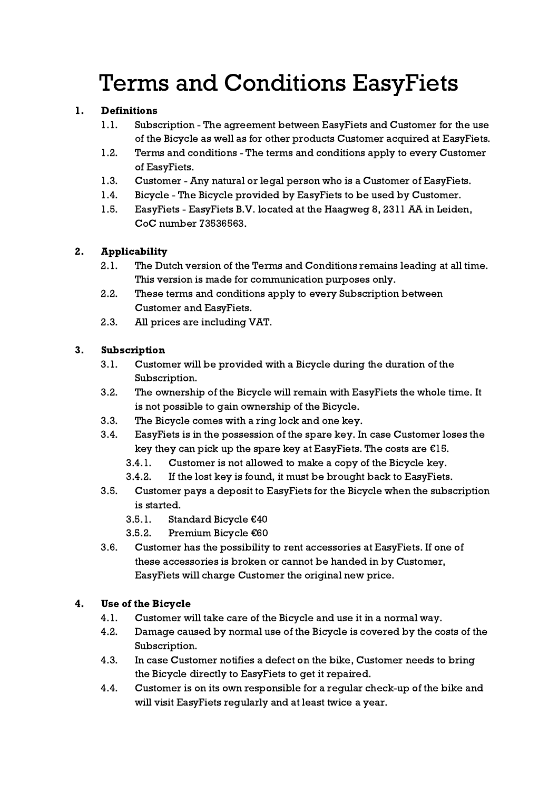# Terms and Conditions EasyFiets

## 1. Definitions

- 1.1. Subscription The agreement between EasyFiets and Customer for the use of the Bicycle as well as for other products Customer acquired at EasyFiets.
- 1.2. Terms and conditions The terms and conditions apply to every Customer of EasyFiets.
- 1.3. Customer Any natural or legal person who is a Customer of EasyFiets.
- 1.4. Bicycle The Bicycle provided by EasyFiets to be used by Customer.
- 1.5. EasyFiets EasyFiets B.V. located at the Haagweg 8, 2311 AA in Leiden, CoC number 73536563.

# 2. Applicability

- 2.1. The Dutch version of the Terms and Conditions remains leading at all time. This version is made for communication purposes only.
- 2.2. These terms and conditions apply to every Subscription between Customer and EasyFiets.
- 2.3. All prices are including VAT.

# 3. Subscription

- 3.1. Customer will be provided with a Bicycle during the duration of the Subscription.
- 3.2. The ownership of the Bicycle will remain with EasyFiets the whole time. It is not possible to gain ownership of the Bicycle.
- 3.3. The Bicycle comes with a ring lock and one key.
- 3.4. EasyFiets is in the possession of the spare key. In case Customer loses the key they can pick up the spare key at EasyFiets. The costs are  $E15$ .
	- 3.4.1. Customer is not allowed to make a copy of the Bicycle key.
	- 3.4.2. If the lost key is found, it must be brought back to EasyFiets.
- 3.5. Customer pays a deposit to EasyFiets for the Bicycle when the subscription is started.
	- 3.5.1. Standard Bicycle €40
	- 3.5.2. Premium Bicycle €60
- 3.6. Customer has the possibility to rent accessories at EasyFiets. If one of these accessories is broken or cannot be handed in by Customer, EasyFiets will charge Customer the original new price.

## 4. Use of the Bicycle

- 4.1. Customer will take care of the Bicycle and use it in a normal way.
- 4.2. Damage caused by normal use of the Bicycle is covered by the costs of the Subscription.
- 4.3. In case Customer notifies a defect on the bike, Customer needs to bring the Bicycle directly to EasyFiets to get it repaired.
- 4.4. Customer is on its own responsible for a regular check-up of the bike and will visit EasyFiets regularly and at least twice a year.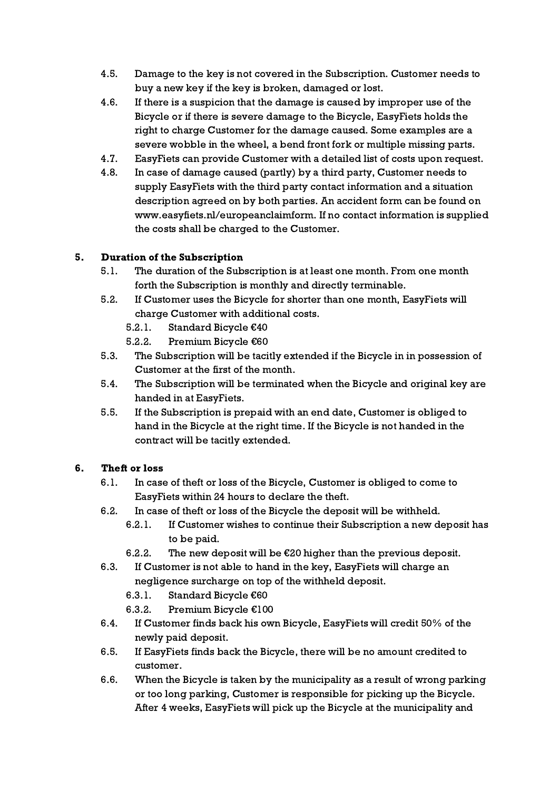- 4.5. Damage to the key is not covered in the Subscription. Customer needs to buy a new key if the key is broken, damaged or lost.
- 4.6. If there is a suspicion that the damage is caused by improper use of the Bicycle or if there is severe damage to the Bicycle, EasyFiets holds the right to charge Customer for the damage caused. Some examples are a severe wobble in the wheel, a bend front fork or multiple missing parts.
- 4.7. EasyFiets can provide Customer with a detailed list of costs upon request.
- 4.8. In case of damage caused (partly) by a third party, Customer needs to supply EasyFiets with the third party contact information and a situation description agreed on by both parties. An accident form can be found on www.easyfiets.nl/europeanclaimform. If no contact information is supplied the costs shall be charged to the Customer.

# 5. Duration of the Subscription

- 5.1. The duration of the Subscription is at least one month. From one month forth the Subscription is monthly and directly terminable.
- 5.2. If Customer uses the Bicycle for shorter than one month, EasyFiets will charge Customer with additional costs.
	- 5.2.1. Standard Bicycle €40
	- 5.2.2. Premium Bicycle €60
- 5.3. The Subscription will be tacitly extended if the Bicycle in in possession of Customer at the first of the month.
- 5.4. The Subscription will be terminated when the Bicycle and original key are handed in at EasyFiets.
- 5.5. If the Subscription is prepaid with an end date, Customer is obliged to hand in the Bicycle at the right time. If the Bicycle is not handed in the contract will be tacitly extended.

## 6. Theft or loss

- 6.1. In case of theft or loss of the Bicycle, Customer is obliged to come to EasyFiets within 24 hours to declare the theft.
- 6.2. In case of theft or loss of the Bicycle the deposit will be withheld.
	- 6.2.1. If Customer wishes to continue their Subscription a new deposit has to be paid.
	- 6.2.2. The new deposit will be  $\epsilon$ 20 higher than the previous deposit.
- 6.3. If Customer is not able to hand in the key, EasyFiets will charge an negligence surcharge on top of the withheld deposit.
	- 6.3.1. Standard Bicycle €60
	- 6.3.2. Premium Bicycle €100
- 6.4. If Customer finds back his own Bicycle, EasyFiets will credit 50% of the newly paid deposit.
- 6.5. If EasyFiets finds back the Bicycle, there will be no amount credited to customer.
- 6.6. When the Bicycle is taken by the municipality as a result of wrong parking or too long parking, Customer is responsible for picking up the Bicycle. After 4 weeks, EasyFiets will pick up the Bicycle at the municipality and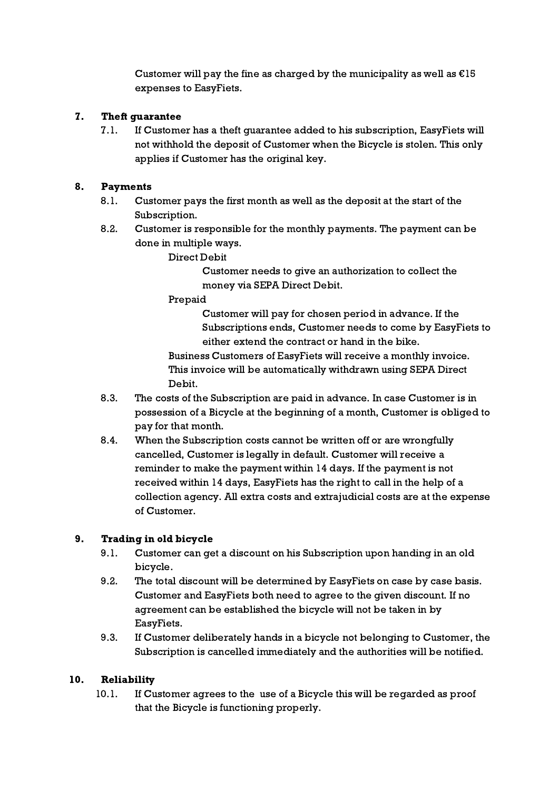Customer will pay the fine as charged by the municipality as well as  $E15$ expenses to EasyFiets.

### 7. Theft guarantee

7.1. If Customer has a theft guarantee added to his subscription, EasyFiets will not withhold the deposit of Customer when the Bicycle is stolen. This only applies if Customer has the original key.

#### 8. Payments

- 8.1. Customer pays the first month as well as the deposit at the start of the Subscription.
- 8.2. Customer is responsible for the monthly payments. The payment can be done in multiple ways.

Direct Debit

Customer needs to give an authorization to collect the money via SEPA Direct Debit.

Prepaid

Customer will pay for chosen period in advance. If the Subscriptions ends, Customer needs to come by EasyFiets to either extend the contract or hand in the bike.

Business Customers of EasyFiets will receive a monthly invoice. This invoice will be automatically withdrawn using SEPA Direct Debit.

- 8.3. The costs of the Subscription are paid in advance. In case Customer is in possession of a Bicycle at the beginning of a month, Customer is obliged to pay for that month.
- 8.4. When the Subscription costs cannot be written off or are wrongfully cancelled, Customer is legally in default. Customer will receive a reminder to make the payment within 14 days. If the payment is not received within 14 days, EasyFiets has the right to call in the help of a collection agency. All extra costs and extrajudicial costs are at the expense of Customer.

## 9. Trading in old bicycle

- 9.1. Customer can get a discount on his Subscription upon handing in an old bicycle.
- 9.2. The total discount will be determined by EasyFiets on case by case basis. Customer and EasyFiets both need to agree to the given discount. If no agreement can be established the bicycle will not be taken in by EasyFiets.
- 9.3. If Customer deliberately hands in a bicycle not belonging to Customer, the Subscription is cancelled immediately and the authorities will be notified.

#### 10. Reliability

10.1. If Customer agrees to the use of a Bicycle this will be regarded as proof that the Bicycle is functioning properly.